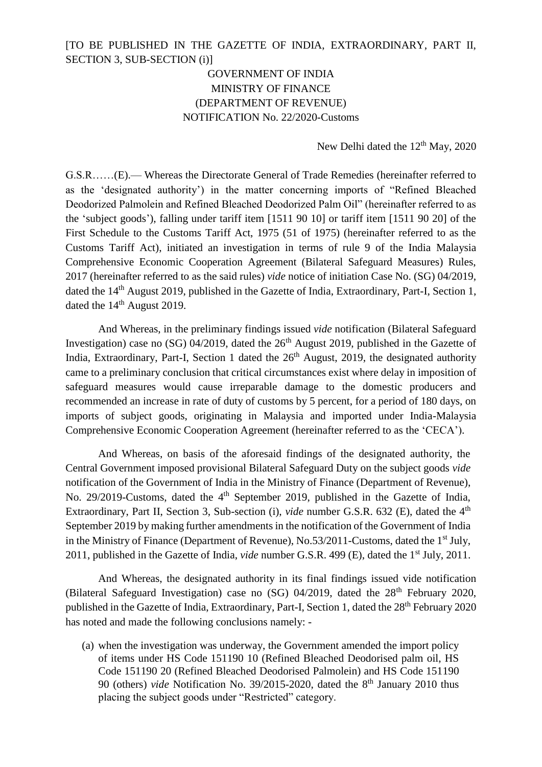## [TO BE PUBLISHED IN THE GAZETTE OF INDIA, EXTRAORDINARY, PART II, SECTION 3, SUB-SECTION (i)]

## GOVERNMENT OF INDIA MINISTRY OF FINANCE (DEPARTMENT OF REVENUE) NOTIFICATION No. 22/2020-Customs

New Delhi dated the  $12<sup>th</sup>$  May, 2020

G.S.R……(E).— Whereas the Directorate General of Trade Remedies (hereinafter referred to as the 'designated authority') in the matter concerning imports of "Refined Bleached Deodorized Palmolein and Refined Bleached Deodorized Palm Oil" (hereinafter referred to as the 'subject goods'), falling under tariff item [1511 90 10] or tariff item [1511 90 20] of the First Schedule to the Customs Tariff Act, 1975 (51 of 1975) (hereinafter referred to as the Customs Tariff Act), initiated an investigation in terms of rule 9 of the India Malaysia Comprehensive Economic Cooperation Agreement (Bilateral Safeguard Measures) Rules, 2017 (hereinafter referred to as the said rules) *vide* notice of initiation Case No. (SG) 04/2019, dated the 14<sup>th</sup> August 2019, published in the Gazette of India, Extraordinary, Part-I, Section 1, dated the 14<sup>th</sup> August 2019.

And Whereas, in the preliminary findings issued *vide* notification (Bilateral Safeguard Investigation) case no (SG) 04/2019, dated the  $26<sup>th</sup>$  August 2019, published in the Gazette of India, Extraordinary, Part-I, Section 1 dated the  $26<sup>th</sup>$  August, 2019, the designated authority came to a preliminary conclusion that critical circumstances exist where delay in imposition of safeguard measures would cause irreparable damage to the domestic producers and recommended an increase in rate of duty of customs by 5 percent, for a period of 180 days, on imports of subject goods, originating in Malaysia and imported under India-Malaysia Comprehensive Economic Cooperation Agreement (hereinafter referred to as the 'CECA').

And Whereas, on basis of the aforesaid findings of the designated authority, the Central Government imposed provisional Bilateral Safeguard Duty on the subject goods *vide*  notification of the Government of India in the Ministry of Finance (Department of Revenue), No. 29/2019-Customs, dated the 4<sup>th</sup> September 2019, published in the Gazette of India, Extraordinary, Part II, Section 3, Sub-section (i), *vide* number G.S.R. 632 (E), dated the 4<sup>th</sup> September 2019 by making further amendments in the notification of the Government of India in the Ministry of Finance (Department of Revenue), No.53/2011-Customs, dated the 1<sup>st</sup> July, 2011, published in the Gazette of India, *vide* number G.S.R. 499 (E), dated the 1st July, 2011.

And Whereas, the designated authority in its final findings issued vide notification (Bilateral Safeguard Investigation) case no  $(SG)$  04/2019, dated the  $28<sup>th</sup>$  February 2020, published in the Gazette of India, Extraordinary, Part-I, Section 1, dated the 28<sup>th</sup> February 2020 has noted and made the following conclusions namely: -

(a) when the investigation was underway, the Government amended the import policy of items under HS Code 151190 10 (Refined Bleached Deodorised palm oil, HS Code 151190 20 (Refined Bleached Deodorised Palmolein) and HS Code 151190 90 (others) *vide* Notification No. 39/2015-2020, dated the 8<sup>th</sup> January 2010 thus placing the subject goods under "Restricted" category.